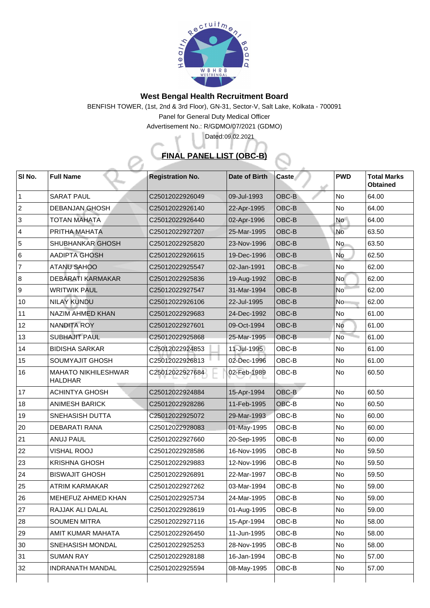

## **West Bengal Health Recruitment Board**

BENFISH TOWER, (1st, 2nd & 3rd Floor), GN-31, Sector-V, Salt Lake, Kolkata - 700091

Panel for General Duty Medical Officer

Advertisement No.: R/GDMO/07/2021 (GDMO)

## **FINAL PANEL LIST (OBC-B)**

Dated: 09.02.2021

| SI No.         | <b>Full Name</b>                             | <b>Registration No.</b>     | Date of Birth | <b>Caste</b> | <b>PWD</b> | <b>Total Marks</b><br><b>Obtained</b> |
|----------------|----------------------------------------------|-----------------------------|---------------|--------------|------------|---------------------------------------|
|                | <b>SARAT PAUL</b>                            | C25012022926049             | 09-Jul-1993   | <b>OBC-B</b> | <b>No</b>  | 64.00                                 |
| $\overline{2}$ | <b>DEBANJAN GHOSH</b>                        | C25012022926140             | 22-Apr-1995   | OBC-B        | <b>No</b>  | 64.00                                 |
| 3              | <b>TOTAN MAHATA</b>                          | C25012022926440             | 02-Apr-1996   | OBC-B        | No         | 64.00                                 |
| 4              | PRITHA MAHATA                                | C25012022927207             | 25-Mar-1995   | <b>OBC-B</b> | <b>No</b>  | 63.50                                 |
| 5              | <b>SHUBHANKAR GHOSH</b>                      | C25012022925820             | 23-Nov-1996   | OBC-B        | No.        | 63.50                                 |
| 6              | <b>AADIPTA GHOSH</b>                         | C <sub>25012022926615</sub> | 19-Dec-1996   | <b>OBC-B</b> | <b>No</b>  | 62.50                                 |
| 7              | <b>ATANU SAHOO</b>                           | C25012022925547             | 02-Jan-1991   | <b>OBC-B</b> | <b>No</b>  | 62.00                                 |
| 8              | <b>DEBARATI KARMAKAR</b>                     | C25012022925836             | 19-Aug-1992   | <b>OBC-B</b> | <b>No</b>  | 62.00                                 |
| 9              | <b>WRITWIK PAUL</b>                          | C25012022927547             | 31-Mar-1994   | <b>OBC-B</b> | <b>No</b>  | 62.00                                 |
| 10             | <b>NILAY KUNDU</b>                           | C25012022926106             | 22-Jul-1995   | OBC-B        | <b>No</b>  | 62.00                                 |
| 11             | <b>NAZIM AHMED KHAN</b>                      | C25012022929683             | 24-Dec-1992   | <b>OBC-B</b> | No         | 61.00                                 |
| 12             | <b>NANDITA ROY</b>                           | C25012022927601             | 09-Oct-1994   | <b>OBC-B</b> | <b>No</b>  | 61.00                                 |
| 13             | <b>SUBHAJIT PAUL</b>                         | C25012022925868             | 25-Mar-1995   | <b>OBC-B</b> | <b>No</b>  | 61.00                                 |
| 14             | <b>BIDISHA SARKAR</b>                        | C25012022924853             | 11-Jul-1995   | OBC-B        | <b>No</b>  | 61.00                                 |
| 15             | <b>SOUMYAJIT GHOSH</b>                       | C25012022926813             | 02-Dec-1996   | OBC-B        | <b>No</b>  | 61.00                                 |
| 16             | <b>MAHATO NIKHILESHWAR</b><br><b>HALDHAR</b> | C25012022927684             | 02-Feb-1989   | OBC-B        | <b>No</b>  | 60.50                                 |
| 17             | <b>ACHINTYA GHOSH</b>                        | C25012022924884             | 15-Apr-1994   | <b>OBC-B</b> | <b>No</b>  | 60.50                                 |
| 18             | <b>ANIMESH BARICK</b>                        | C25012022928286             | 11-Feb-1995   | OBC-B        | <b>No</b>  | 60.50                                 |
| 19             | <b>SNEHASISH DUTTA</b>                       | C25012022925072             | 29-Mar-1993   | OBC-B        | <b>No</b>  | 60.00                                 |
| 20             | <b>DEBARATI RANA</b>                         | C25012022928083             | 01-May-1995   | OBC-B        | <b>No</b>  | 60.00                                 |
| 21             | <b>ANUJ PAUL</b>                             | C25012022927660             | 20-Sep-1995   | OBC-B        | <b>No</b>  | 60.00                                 |
| 22             | <b>VISHAL ROOJ</b>                           | C25012022928586             | 16-Nov-1995   | OBC-B        | No         | 59.50                                 |
| 23             | <b>KRISHNA GHOSH</b>                         | C25012022929883             | 12-Nov-1996   | OBC-B        | <b>No</b>  | 59.50                                 |
| 24             | <b>BISWAJIT GHOSH</b>                        | C25012022926891             | 22-Mar-1997   | OBC-B        | <b>No</b>  | 59.50                                 |
| 25             | <b>ATRIM KARMAKAR</b>                        | C25012022927262             | 03-Mar-1994   | OBC-B        | <b>No</b>  | 59.00                                 |
| 26             | MEHEFUZ AHMED KHAN                           | C25012022925734             | 24-Mar-1995   | OBC-B        | <b>No</b>  | 59.00                                 |
| 27             | RAJJAK ALI DALAL                             | C25012022928619             | 01-Aug-1995   | OBC-B        | <b>No</b>  | 59.00                                 |
| 28             | <b>SOUMEN MITRA</b>                          | C25012022927116             | 15-Apr-1994   | OBC-B        | No         | 58.00                                 |
| 29             | AMIT KUMAR MAHATA                            | C <sub>25012022926450</sub> | 11-Jun-1995   | <b>OBC-B</b> | No         | 58.00                                 |
| 30             | <b>SNEHASISH MONDAL</b>                      | C25012022925253             | 28-Nov-1995   | OBC-B        | No         | 58.00                                 |
| 31             | <b>SUMAN RAY</b>                             | C <sub>25012022928188</sub> | 16-Jan-1994   | OBC-B        | No         | 57.00                                 |
| 32             | <b>INDRANATH MANDAL</b>                      | C25012022925594             | 08-May-1995   | OBC-B        | <b>No</b>  | 57.00                                 |
|                |                                              |                             |               |              |            |                                       |